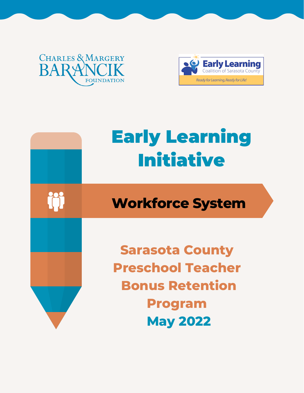### **CHARLES & MARGERY BARY FOUNDATION**



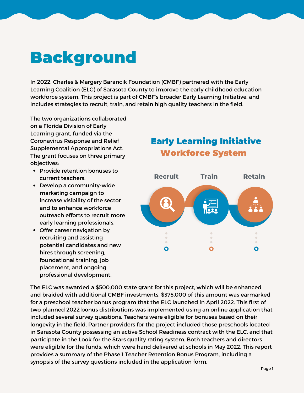### Background

In 2022, Charles & Margery Barancik Foundation (CMBF) partnered with the Early Learning Coalition (ELC) of Sarasota County to improve the early childhood education workforce system. This project is part of CMBF's broader Early Learning Initiative, and includes strategies to recruit, train, and retain high quality teachers in the field.

The two organizations collaborated on a Florida Division of Early Learning grant, funded via the Coronavirus Response and Relief Supplemental Appropriations Act. The grant focuses on three primary objectives:

- Provide retention bonuses to current teachers.
- Develop a community-wide marketing campaign to increase visibility of the sector and to enhance workforce outreach efforts to recruit more early learning professionals.
- Offer career navigation by recruiting and assisting potential candidates and new hires through screening, foundational training, job placement, and ongoing professional development.

#### Early Learning Initiative Workforce System



The ELC was awarded a \$500,000 state grant for this project, which will be enhanced and braided with additional CMBF investments. \$375,000 of this amount was earmarked for a preschool teacher bonus program that the ELC launched in April 2022. This first of two planned 2022 bonus distributions was implemented using an online application that included several survey questions. Teachers were eligible for bonuses based on their longevity in the field. Partner providers for the project included those preschools located in Sarasota County possessing an active School Readiness contract with the ELC, and that participate in the Look for the Stars quality rating system. Both teachers and directors were eligible for the funds, which were hand delivered at schools in May 2022. This report provides a summary of the Phase 1 Teacher Retention Bonus Program, including a synopsis of the survey questions included in the application form.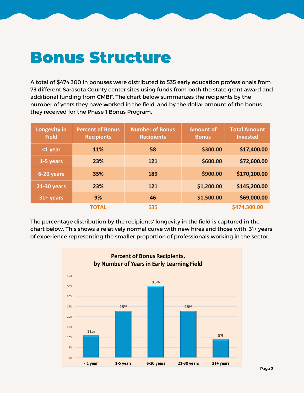### Bonus Structure

A total of \$474,300 in bonuses were distributed to 535 early education professionals from 73 different Sarasota County center sites using funds from both the state grant award and additional funding from CMBF. The chart below summarizes the recipients by the number of years they have worked in the field, and by the dollar amount of the bonus they received for the Phase 1 Bonus Program.

| Longevity in<br><b>Field</b> | <b>Percent of Bonus</b><br><b>Recipients</b> | <b>Number of Bonus</b><br><b>Recipients</b> | <b>Amount of</b><br><b>Bonus</b> | <b>Total Amount</b><br><b>Invested</b> |
|------------------------------|----------------------------------------------|---------------------------------------------|----------------------------------|----------------------------------------|
| $1$ year                     | <b>11%</b>                                   | 58                                          | \$300.00                         | \$17,400.00                            |
| 1-5 years                    | 23%                                          | 121                                         | \$600.00                         | \$72,600.00                            |
| 6-20 years                   | 35%                                          | 189                                         | \$900.00                         | \$170,100.00                           |
| <b>21-30 years</b>           | 23%                                          | 121                                         | \$1,200.00                       | \$145,200.00                           |
| 31+ years                    | 9%                                           | 46                                          | \$1,500.00                       | \$69,000.00                            |
|                              | <b>TOTAL</b>                                 | 535                                         |                                  | \$474,300.00                           |

The percentage distribution by the recipients' longevity in the field is captured in the chart below. This shows a relatively normal curve with new hires and those with 31+ years of experience representing the smaller proportion of professionals working in the sector.

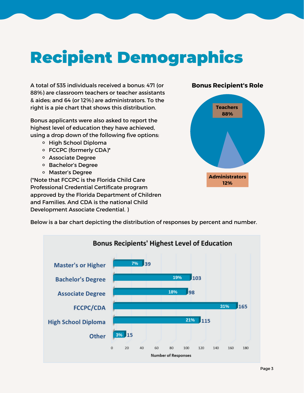# Recipient Demographics

A total of 535 individuals received a bonus: 471 (or 88%) are classroom teachers or teacher assistants & aides; and 64 (or 12%) are administrators. To the right is a pie chart that shows this distribution.

Bonus applicants were also asked to report the highest level of education they have achieved, using a drop down of the following five options:

- o High School Diploma
- FCCPC (formerly CDA)\*
- Associate Degree
- Bachelor's Degree
- Master's Degree

(\*Note that FCCPC is the Florida Child Care Professional Credential Certificate program approved by the Florida Department of Children and Families. And CDA is the national Child Development Associate Credential. )

#### **Bonus Recipient's Role**



Below is a bar chart depicting the distribution of responses by percent and number.

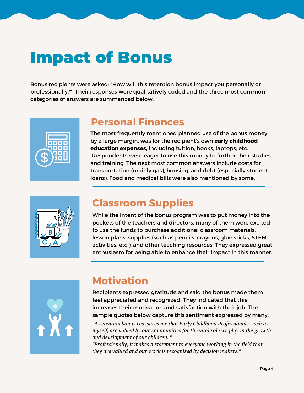### Impact of Bonus

Bonus recipients were asked: "How will this retention bonus impact you personally or professionally?" Their responses were qualitatively coded and the three most common categories of answers are summarized below.



#### **Personal Finances**

The most frequently mentioned planned use of the bonus money, by a large margin, was for the recipient's own **early childhood education expenses,** including tuition, books, laptops, etc. Respondents were eager to use this money to further their studies and training. The next most common answers include costs for transportation (mainly gas), housing, and debt (especially student loans). Food and medical bills were also mentioned by some.



#### **Classroom Supplies**

While the intent of the bonus program was to put money into the pockets of the teachers and directors, many of them were excited to use the funds to purchase additional classroom materials, lesson plans, supplies (such as pencils, crayons, glue sticks, STEM activities, etc.), and other teaching resources. They expressed great enthusiasm for being able to enhance their impact in this manner.



### **Motivation**

Recipients expressed gratitude and said the bonus made them feel appreciated and recognized. They indicated that this increases their motivation and satisfaction with their job. The sample quotes below capture this sentiment expressed by many.

"*A retention bonus reassures me that Early Childhood Professionals, such as myself, are valued by our communities for the vital role we play in the growth and development of our children. "*

*"Professionally, it makes a statement to everyone working in the field that they are valued and our work is recognized by decision makers."*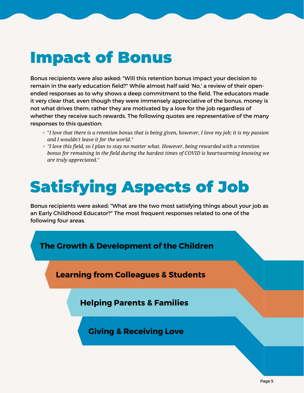### Impact of Bonus

Bonus recipients were also asked: "Will this retention bonus impact your decision to remain in the early education field?" While almost half said 'No,' a review of their open ended responses as to why shows a deep commitment to the field. The educators made it very clear that, even though they were immensely appreciative of the bonus, money is not what drives them; rather they are motivated by a love for the job regardless of whether they receive such rewards. The following quotes are representative of the many responses to this question:

- $\circ$  "I love that there is a retention bonus that is being given, however, I love my job; it is my passion *and Iwouldn't leave it for the world."*
- *"I love this field, so Iplan to stay no matter what. However, being rewarded with a retention bonus for remaining in the field during the hardest times of COVID is heartwarming knowing we are truly appreciated."*

# Satisfying Aspects of Job

Bonus recipients were asked: "What are the two most satisfying things about your job as an Early Childhood Educator?" The most frequent responses related to one of the following four areas.



**Learning from Colleagues & Students**

**Helping Parents & Families**

**Giving & Receiving Love**